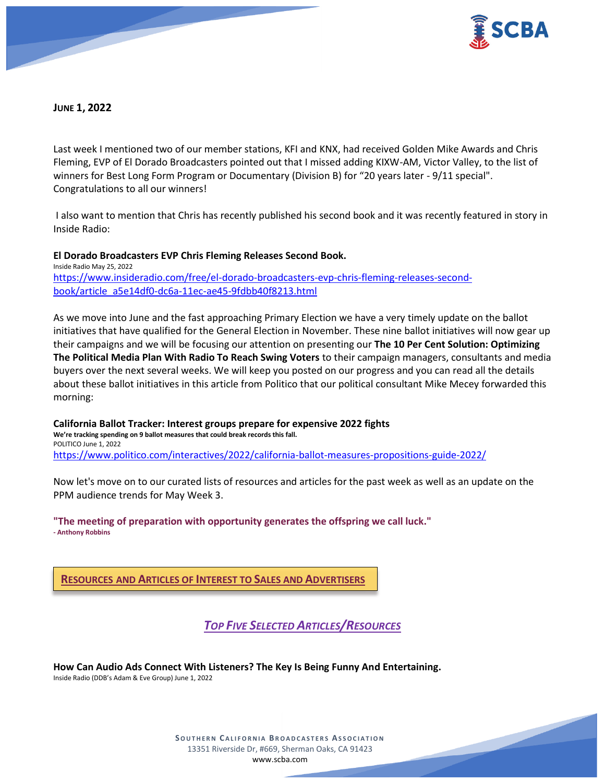

**JUNE 1, 2022**

Last week I mentioned two of our member stations, KFI and KNX, had received Golden Mike Awards and Chris Fleming, EVP of El Dorado Broadcasters pointed out that I missed adding KIXW-AM, Victor Valley, to the list of winners for Best Long Form Program or Documentary (Division B) for "20 years later - 9/11 special". Congratulations to all our winners!

I also want to mention that Chris has recently published his second book and it was recently featured in story in Inside Radio:

**El Dorado Broadcasters EVP Chris Fleming Releases Second Book.** Inside Radio May 25, 2022 [https://www.insideradio.com/free/el-dorado-broadcasters-evp-chris-fleming-releases-second](https://www.insideradio.com/free/el-dorado-broadcasters-evp-chris-fleming-releases-second-book/article_a5e14df0-dc6a-11ec-ae45-9fdbb40f8213.html)[book/article\\_a5e14df0-dc6a-11ec-ae45-9fdbb40f8213.html](https://www.insideradio.com/free/el-dorado-broadcasters-evp-chris-fleming-releases-second-book/article_a5e14df0-dc6a-11ec-ae45-9fdbb40f8213.html)

As we move into June and the fast approaching Primary Election we have a very timely update on the ballot initiatives that have qualified for the General Election in November. These nine ballot initiatives will now gear up their campaigns and we will be focusing our attention on presenting our **The 10 Per Cent Solution: Optimizing The Political Media Plan With Radio To Reach Swing Voters** to their campaign managers, consultants and media buyers over the next several weeks. We will keep you posted on our progress and you can read all the details about these ballot initiatives in this article from Politico that our political consultant Mike Mecey forwarded this morning:

**California Ballot Tracker: Interest groups prepare for expensive 2022 fights We're tracking spending on 9 ballot measures that could break records this fall.** POLITICO June 1, 2022 <https://www.politico.com/interactives/2022/california-ballot-measures-propositions-guide-2022/>

Now let's move on to our curated lists of resources and articles for the past week as well as an update on the PPM audience trends for May Week 3.

**"The meeting of preparation with opportunity generates the offspring we call luck." - Anthony Robbins** 

**RESOURCES AND ARTICLES OF INTEREST TO SALES AND ADVERTISERS**

*TOP FIVE SELECTED ARTICLES/RESOURCES*

**How Can Audio Ads Connect With Listeners? The Key Is Being Funny And Entertaining.** Inside Radio (DDB's Adam & Eve Group) June 1, 2022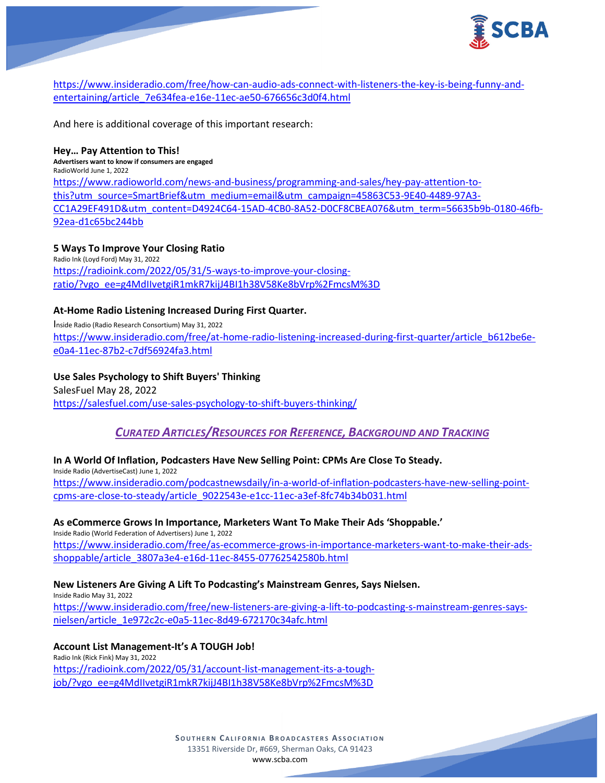

[https://www.insideradio.com/free/how-can-audio-ads-connect-with-listeners-the-key-is-being-funny-and](https://www.insideradio.com/free/how-can-audio-ads-connect-with-listeners-the-key-is-being-funny-and-entertaining/article_7e634fea-e16e-11ec-ae50-676656c3d0f4.html)[entertaining/article\\_7e634fea-e16e-11ec-ae50-676656c3d0f4.html](https://www.insideradio.com/free/how-can-audio-ads-connect-with-listeners-the-key-is-being-funny-and-entertaining/article_7e634fea-e16e-11ec-ae50-676656c3d0f4.html)

And here is additional coverage of this important research:

**Hey… Pay Attention to This! Advertisers want to know if consumers are engaged** RadioWorld June 1, 2022 [https://www.radioworld.com/news-and-business/programming-and-sales/hey-pay-attention-to](https://www.radioworld.com/news-and-business/programming-and-sales/hey-pay-attention-to-this?utm_source=SmartBrief&utm_medium=email&utm_campaign=45863C53-9E40-4489-97A3-CC1A29EF491D&utm_content=D4924C64-15AD-4CB0-8A52-D0CF8CBEA076&utm_term=56635b9b-0180-46fb-92ea-d1c65bc244bb)[this?utm\\_source=SmartBrief&utm\\_medium=email&utm\\_campaign=45863C53-9E40-4489-97A3-](https://www.radioworld.com/news-and-business/programming-and-sales/hey-pay-attention-to-this?utm_source=SmartBrief&utm_medium=email&utm_campaign=45863C53-9E40-4489-97A3-CC1A29EF491D&utm_content=D4924C64-15AD-4CB0-8A52-D0CF8CBEA076&utm_term=56635b9b-0180-46fb-92ea-d1c65bc244bb) [CC1A29EF491D&utm\\_content=D4924C64-15AD-4CB0-8A52-D0CF8CBEA076&utm\\_term=56635b9b-0180-46fb-](https://www.radioworld.com/news-and-business/programming-and-sales/hey-pay-attention-to-this?utm_source=SmartBrief&utm_medium=email&utm_campaign=45863C53-9E40-4489-97A3-CC1A29EF491D&utm_content=D4924C64-15AD-4CB0-8A52-D0CF8CBEA076&utm_term=56635b9b-0180-46fb-92ea-d1c65bc244bb)[92ea-d1c65bc244bb](https://www.radioworld.com/news-and-business/programming-and-sales/hey-pay-attention-to-this?utm_source=SmartBrief&utm_medium=email&utm_campaign=45863C53-9E40-4489-97A3-CC1A29EF491D&utm_content=D4924C64-15AD-4CB0-8A52-D0CF8CBEA076&utm_term=56635b9b-0180-46fb-92ea-d1c65bc244bb)

### **5 Ways To Improve Your Closing Ratio**

Radio Ink (Loyd Ford) May 31, 2022 [https://radioink.com/2022/05/31/5-ways-to-improve-your-closing](https://radioink.com/2022/05/31/5-ways-to-improve-your-closing-ratio/?vgo_ee=g4MdIIvetgiR1mkR7kijJ4BI1h38V58Ke8bVrp%2FmcsM%3D)[ratio/?vgo\\_ee=g4MdIIvetgiR1mkR7kijJ4BI1h38V58Ke8bVrp%2FmcsM%3D](https://radioink.com/2022/05/31/5-ways-to-improve-your-closing-ratio/?vgo_ee=g4MdIIvetgiR1mkR7kijJ4BI1h38V58Ke8bVrp%2FmcsM%3D)

### **At-Home Radio Listening Increased During First Quarter.**

Inside Radio (Radio Research Consortium) May 31, 2022 [https://www.insideradio.com/free/at-home-radio-listening-increased-during-first-quarter/article\\_b612be6e](https://www.insideradio.com/free/at-home-radio-listening-increased-during-first-quarter/article_b612be6e-e0a4-11ec-87b2-c7df56924fa3.html)[e0a4-11ec-87b2-c7df56924fa3.html](https://www.insideradio.com/free/at-home-radio-listening-increased-during-first-quarter/article_b612be6e-e0a4-11ec-87b2-c7df56924fa3.html)

**Use Sales Psychology to Shift Buyers' Thinking** SalesFuel May 28, 2022 <https://salesfuel.com/use-sales-psychology-to-shift-buyers-thinking/>

# *CURATED ARTICLES/RESOURCES FOR REFERENCE, BACKGROUND AND TRACKING*

#### **In A World Of Inflation, Podcasters Have New Selling Point: CPMs Are Close To Steady.**

Inside Radio (AdvertiseCast) June 1, 2022 [https://www.insideradio.com/podcastnewsdaily/in-a-world-of-inflation-podcasters-have-new-selling-point](https://www.insideradio.com/podcastnewsdaily/in-a-world-of-inflation-podcasters-have-new-selling-point-cpms-are-close-to-steady/article_9022543e-e1cc-11ec-a3ef-8fc74b34b031.html)[cpms-are-close-to-steady/article\\_9022543e-e1cc-11ec-a3ef-8fc74b34b031.html](https://www.insideradio.com/podcastnewsdaily/in-a-world-of-inflation-podcasters-have-new-selling-point-cpms-are-close-to-steady/article_9022543e-e1cc-11ec-a3ef-8fc74b34b031.html)

**As eCommerce Grows In Importance, Marketers Want To Make Their Ads 'Shoppable.'** Inside Radio (World Federation of Advertisers) June 1, 2022

[https://www.insideradio.com/free/as-ecommerce-grows-in-importance-marketers-want-to-make-their-ads](https://www.insideradio.com/free/as-ecommerce-grows-in-importance-marketers-want-to-make-their-ads-shoppable/article_3807a3e4-e16d-11ec-8455-07762542580b.html)[shoppable/article\\_3807a3e4-e16d-11ec-8455-07762542580b.html](https://www.insideradio.com/free/as-ecommerce-grows-in-importance-marketers-want-to-make-their-ads-shoppable/article_3807a3e4-e16d-11ec-8455-07762542580b.html)

#### **New Listeners Are Giving A Lift To Podcasting's Mainstream Genres, Says Nielsen.**

Inside Radio May 31, 2022 [https://www.insideradio.com/free/new-listeners-are-giving-a-lift-to-podcasting-s-mainstream-genres-says](https://www.insideradio.com/free/new-listeners-are-giving-a-lift-to-podcasting-s-mainstream-genres-says-nielsen/article_1e972c2c-e0a5-11ec-8d49-672170c34afc.html)[nielsen/article\\_1e972c2c-e0a5-11ec-8d49-672170c34afc.html](https://www.insideradio.com/free/new-listeners-are-giving-a-lift-to-podcasting-s-mainstream-genres-says-nielsen/article_1e972c2c-e0a5-11ec-8d49-672170c34afc.html)

**Account List Management-It's A TOUGH Job!**

Radio Ink (Rick Fink) May 31, 2022 [https://radioink.com/2022/05/31/account-list-management-its-a-tough](https://radioink.com/2022/05/31/account-list-management-its-a-tough-job/?vgo_ee=g4MdIIvetgiR1mkR7kijJ4BI1h38V58Ke8bVrp%2FmcsM%3D)[job/?vgo\\_ee=g4MdIIvetgiR1mkR7kijJ4BI1h38V58Ke8bVrp%2FmcsM%3D](https://radioink.com/2022/05/31/account-list-management-its-a-tough-job/?vgo_ee=g4MdIIvetgiR1mkR7kijJ4BI1h38V58Ke8bVrp%2FmcsM%3D)

> **SOUTHERN CALIFORNIA BROADCASTERS ASSOCIATION** 13351 Riverside Dr, #669, Sherman Oaks, CA 91423 [www.scba.com](http://www.scba.com/)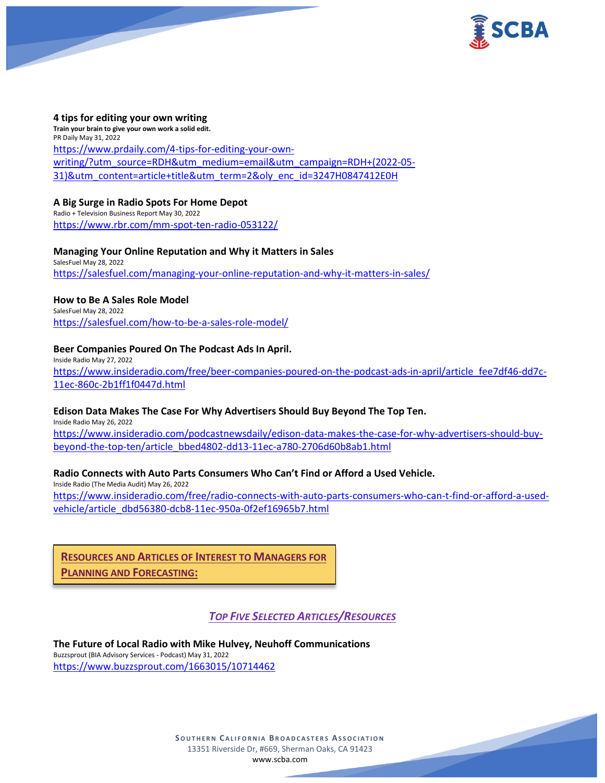



#### **4 tips for editing your own writing**

**Train your brain to give your own work a solid edit.** PR Daily May 31, 2022 [https://www.prdaily.com/4-tips-for-editing-your-own](https://www.prdaily.com/4-tips-for-editing-your-own-writing/?utm_source=RDH&utm_medium=email&utm_campaign=RDH+(2022-05-31)&utm_content=article+title&utm_term=2&oly_enc_id=3247H0847412E0H)[writing/?utm\\_source=RDH&utm\\_medium=email&utm\\_campaign=RDH+\(2022-05-](https://www.prdaily.com/4-tips-for-editing-your-own-writing/?utm_source=RDH&utm_medium=email&utm_campaign=RDH+(2022-05-31)&utm_content=article+title&utm_term=2&oly_enc_id=3247H0847412E0H) [31\)&utm\\_content=article+title&utm\\_term=2&oly\\_enc\\_id=3247H0847412E0H](https://www.prdaily.com/4-tips-for-editing-your-own-writing/?utm_source=RDH&utm_medium=email&utm_campaign=RDH+(2022-05-31)&utm_content=article+title&utm_term=2&oly_enc_id=3247H0847412E0H)

### **A Big Surge in Radio Spots For Home Depot**

Radio + Television Business Report May 30, 2022 <https://www.rbr.com/mm-spot-ten-radio-053122/>

# **Managing Your Online Reputation and Why it Matters in Sales**

SalesFuel May 28, 2022 <https://salesfuel.com/managing-your-online-reputation-and-why-it-matters-in-sales/>

#### **How to Be A Sales Role Model**

SalesFuel May 28, 2022 <https://salesfuel.com/how-to-be-a-sales-role-model/>

### **Beer Companies Poured On The Podcast Ads In April.**

Inside Radio May 27, 2022 [https://www.insideradio.com/free/beer-companies-poured-on-the-podcast-ads-in-april/article\\_fee7df46-dd7c-](https://www.insideradio.com/free/beer-companies-poured-on-the-podcast-ads-in-april/article_fee7df46-dd7c-11ec-860c-2b1ff1f0447d.html)[11ec-860c-2b1ff1f0447d.html](https://www.insideradio.com/free/beer-companies-poured-on-the-podcast-ads-in-april/article_fee7df46-dd7c-11ec-860c-2b1ff1f0447d.html)

#### **Edison Data Makes The Case For Why Advertisers Should Buy Beyond The Top Ten.**

Inside Radio May 26, 2022 [https://www.insideradio.com/podcastnewsdaily/edison-data-makes-the-case-for-why-advertisers-should-buy](https://www.insideradio.com/podcastnewsdaily/edison-data-makes-the-case-for-why-advertisers-should-buy-beyond-the-top-ten/article_bbed4802-dd13-11ec-a780-2706d60b8ab1.html)[beyond-the-top-ten/article\\_bbed4802-dd13-11ec-a780-2706d60b8ab1.html](https://www.insideradio.com/podcastnewsdaily/edison-data-makes-the-case-for-why-advertisers-should-buy-beyond-the-top-ten/article_bbed4802-dd13-11ec-a780-2706d60b8ab1.html)

# **Radio Connects with Auto Parts Consumers Who Can't Find or Afford a Used Vehicle.**

Inside Radio (The Media Audit) May 26, 2022 [https://www.insideradio.com/free/radio-connects-with-auto-parts-consumers-who-can-t-find-or-afford-a-used](https://www.insideradio.com/free/radio-connects-with-auto-parts-consumers-who-can-t-find-or-afford-a-used-vehicle/article_dbd56380-dcb8-11ec-950a-0f2ef16965b7.html)[vehicle/article\\_dbd56380-dcb8-11ec-950a-0f2ef16965b7.html](https://www.insideradio.com/free/radio-connects-with-auto-parts-consumers-who-can-t-find-or-afford-a-used-vehicle/article_dbd56380-dcb8-11ec-950a-0f2ef16965b7.html)

**RESOURCES AND ARTICLES OF INTEREST TO MANAGERS FOR PLANNING AND FORECASTING:**

# *TOP FIVE SELECTED ARTICLES/RESOURCES*

**The Future of Local Radio with Mike Hulvey, Neuhoff Communications** Buzzsprout (BIA Advisory Services - Podcast) May 31, 2022 <https://www.buzzsprout.com/1663015/10714462>

> **SOUTHERN CALIFORNIA BROADCASTERS ASSOCIATION** 13351 Riverside Dr, #669, Sherman Oaks, CA 91423 [www.scba.com](http://www.scba.com/)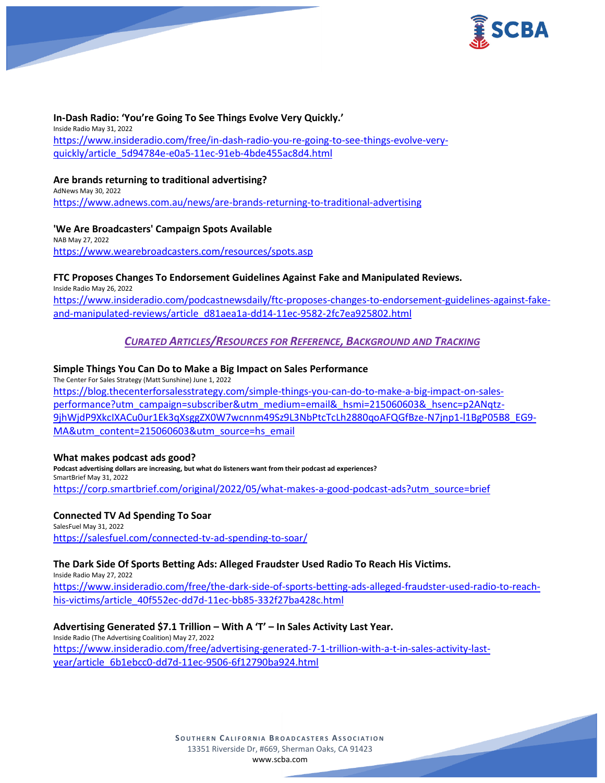



**In-Dash Radio: 'You're Going To See Things Evolve Very Quickly.'** Inside Radio May 31, 2022 [https://www.insideradio.com/free/in-dash-radio-you-re-going-to-see-things-evolve-very](https://www.insideradio.com/free/in-dash-radio-you-re-going-to-see-things-evolve-very-quickly/article_5d94784e-e0a5-11ec-91eb-4bde455ac8d4.html)[quickly/article\\_5d94784e-e0a5-11ec-91eb-4bde455ac8d4.html](https://www.insideradio.com/free/in-dash-radio-you-re-going-to-see-things-evolve-very-quickly/article_5d94784e-e0a5-11ec-91eb-4bde455ac8d4.html)

## **Are brands returning to traditional advertising?**

AdNews May 30, 2022 <https://www.adnews.com.au/news/are-brands-returning-to-traditional-advertising>

**'We Are Broadcasters' Campaign Spots Available** NAB May 27, 2022 <https://www.wearebroadcasters.com/resources/spots.asp>

### **FTC Proposes Changes To Endorsement Guidelines Against Fake and Manipulated Reviews.**

Inside Radio May 26, 2022 [https://www.insideradio.com/podcastnewsdaily/ftc-proposes-changes-to-endorsement-guidelines-against-fake](https://www.insideradio.com/podcastnewsdaily/ftc-proposes-changes-to-endorsement-guidelines-against-fake-and-manipulated-reviews/article_d81aea1a-dd14-11ec-9582-2fc7ea925802.html)[and-manipulated-reviews/article\\_d81aea1a-dd14-11ec-9582-2fc7ea925802.html](https://www.insideradio.com/podcastnewsdaily/ftc-proposes-changes-to-endorsement-guidelines-against-fake-and-manipulated-reviews/article_d81aea1a-dd14-11ec-9582-2fc7ea925802.html)

# *CURATED ARTICLES/RESOURCES FOR REFERENCE, BACKGROUND AND TRACKING*

### **Simple Things You Can Do to Make a Big Impact on Sales Performance**

The Center For Sales Strategy (Matt Sunshine) June 1, 2022 [https://blog.thecenterforsalesstrategy.com/simple-things-you-can-do-to-make-a-big-impact-on-sales](https://blog.thecenterforsalesstrategy.com/simple-things-you-can-do-to-make-a-big-impact-on-sales-performance?utm_campaign=subscriber&utm_medium=email&_hsmi=215060603&_hsenc=p2ANqtz-9jhWjdP9XkcIXACu0ur1Ek3qXsggZX0W7wcnnm49Sz9L3NbPtcTcLh2880qoAFQGfBze-N7jnp1-l1BgP05B8_EG9-MA&utm_content=215060603&utm_source=hs_email)[performance?utm\\_campaign=subscriber&utm\\_medium=email&\\_hsmi=215060603&\\_hsenc=p2ANqtz-](https://blog.thecenterforsalesstrategy.com/simple-things-you-can-do-to-make-a-big-impact-on-sales-performance?utm_campaign=subscriber&utm_medium=email&_hsmi=215060603&_hsenc=p2ANqtz-9jhWjdP9XkcIXACu0ur1Ek3qXsggZX0W7wcnnm49Sz9L3NbPtcTcLh2880qoAFQGfBze-N7jnp1-l1BgP05B8_EG9-MA&utm_content=215060603&utm_source=hs_email)[9jhWjdP9XkcIXACu0ur1Ek3qXsggZX0W7wcnnm49Sz9L3NbPtcTcLh2880qoAFQGfBze-N7jnp1-l1BgP05B8\\_EG9-](https://blog.thecenterforsalesstrategy.com/simple-things-you-can-do-to-make-a-big-impact-on-sales-performance?utm_campaign=subscriber&utm_medium=email&_hsmi=215060603&_hsenc=p2ANqtz-9jhWjdP9XkcIXACu0ur1Ek3qXsggZX0W7wcnnm49Sz9L3NbPtcTcLh2880qoAFQGfBze-N7jnp1-l1BgP05B8_EG9-MA&utm_content=215060603&utm_source=hs_email) [MA&utm\\_content=215060603&utm\\_source=hs\\_email](https://blog.thecenterforsalesstrategy.com/simple-things-you-can-do-to-make-a-big-impact-on-sales-performance?utm_campaign=subscriber&utm_medium=email&_hsmi=215060603&_hsenc=p2ANqtz-9jhWjdP9XkcIXACu0ur1Ek3qXsggZX0W7wcnnm49Sz9L3NbPtcTcLh2880qoAFQGfBze-N7jnp1-l1BgP05B8_EG9-MA&utm_content=215060603&utm_source=hs_email)

#### **What makes podcast ads good?**

**Podcast advertising dollars are increasing, but what do listeners want from their podcast ad experiences?** SmartBrief May 31, 2022 [https://corp.smartbrief.com/original/2022/05/what-makes-a-good-podcast-ads?utm\\_source=brief](https://corp.smartbrief.com/original/2022/05/what-makes-a-good-podcast-ads?utm_source=brief)

#### **Connected TV Ad Spending To Soar**

SalesFuel May 31, 2022 <https://salesfuel.com/connected-tv-ad-spending-to-soar/>

#### **The Dark Side Of Sports Betting Ads: Alleged Fraudster Used Radio To Reach His Victims.**

Inside Radio May 27, 2022 [https://www.insideradio.com/free/the-dark-side-of-sports-betting-ads-alleged-fraudster-used-radio-to-reach](https://www.insideradio.com/free/the-dark-side-of-sports-betting-ads-alleged-fraudster-used-radio-to-reach-his-victims/article_40f552ec-dd7d-11ec-bb85-332f27ba428c.html)[his-victims/article\\_40f552ec-dd7d-11ec-bb85-332f27ba428c.html](https://www.insideradio.com/free/the-dark-side-of-sports-betting-ads-alleged-fraudster-used-radio-to-reach-his-victims/article_40f552ec-dd7d-11ec-bb85-332f27ba428c.html)

# **Advertising Generated \$7.1 Trillion – With A 'T' – In Sales Activity Last Year.**

Inside Radio (The Advertising Coalition) May 27, 2022 [https://www.insideradio.com/free/advertising-generated-7-1-trillion-with-a-t-in-sales-activity-last](https://www.insideradio.com/free/advertising-generated-7-1-trillion-with-a-t-in-sales-activity-last-year/article_6b1ebcc0-dd7d-11ec-9506-6f12790ba924.html)[year/article\\_6b1ebcc0-dd7d-11ec-9506-6f12790ba924.html](https://www.insideradio.com/free/advertising-generated-7-1-trillion-with-a-t-in-sales-activity-last-year/article_6b1ebcc0-dd7d-11ec-9506-6f12790ba924.html)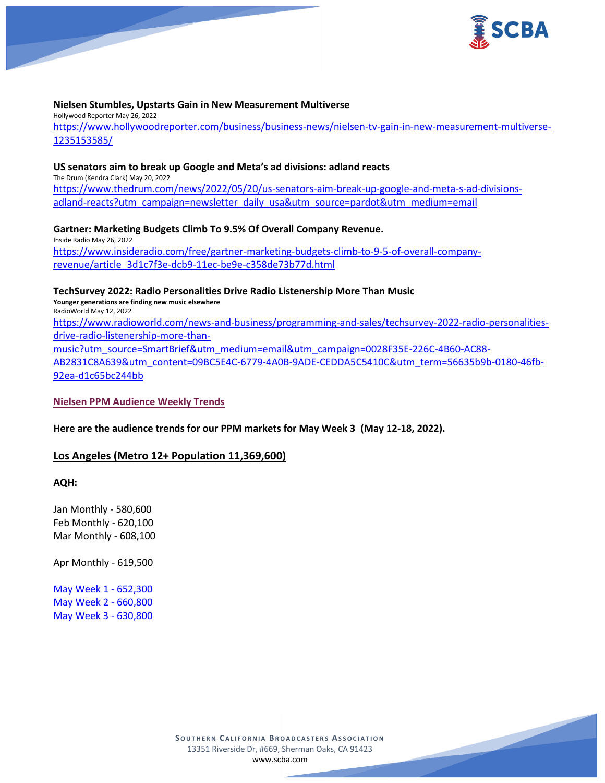

#### **Nielsen Stumbles, Upstarts Gain in New Measurement Multiverse**

Hollywood Reporter May 26, 2022

[https://www.hollywoodreporter.com/business/business-news/nielsen-tv-gain-in-new-measurement-multiverse-](https://www.hollywoodreporter.com/business/business-news/nielsen-tv-gain-in-new-measurement-multiverse-1235153585/)[1235153585/](https://www.hollywoodreporter.com/business/business-news/nielsen-tv-gain-in-new-measurement-multiverse-1235153585/)

#### **US senators aim to break up Google and Meta's ad divisions: adland reacts**

The Drum (Kendra Clark) May 20, 2022 [https://www.thedrum.com/news/2022/05/20/us-senators-aim-break-up-google-and-meta-s-ad-divisions](https://www.thedrum.com/news/2022/05/20/us-senators-aim-break-up-google-and-meta-s-ad-divisions-adland-reacts?utm_campaign=newsletter_daily_usa&utm_source=pardot&utm_medium=email)[adland-reacts?utm\\_campaign=newsletter\\_daily\\_usa&utm\\_source=pardot&utm\\_medium=email](https://www.thedrum.com/news/2022/05/20/us-senators-aim-break-up-google-and-meta-s-ad-divisions-adland-reacts?utm_campaign=newsletter_daily_usa&utm_source=pardot&utm_medium=email)

# **Gartner: Marketing Budgets Climb To 9.5% Of Overall Company Revenue.**

Inside Radio May 26, 2022 [https://www.insideradio.com/free/gartner-marketing-budgets-climb-to-9-5-of-overall-company](https://www.insideradio.com/free/gartner-marketing-budgets-climb-to-9-5-of-overall-company-revenue/article_3d1c7f3e-dcb9-11ec-be9e-c358de73b77d.html)[revenue/article\\_3d1c7f3e-dcb9-11ec-be9e-c358de73b77d.html](https://www.insideradio.com/free/gartner-marketing-budgets-climb-to-9-5-of-overall-company-revenue/article_3d1c7f3e-dcb9-11ec-be9e-c358de73b77d.html)

### **TechSurvey 2022: Radio Personalities Drive Radio Listenership More Than Music**

**Younger generations are finding new music elsewhere** RadioWorld May 12, 2022

[https://www.radioworld.com/news-and-business/programming-and-sales/techsurvey-2022-radio-personalities](https://www.radioworld.com/news-and-business/programming-and-sales/techsurvey-2022-radio-personalities-drive-radio-listenership-more-than-music?utm_source=SmartBrief&utm_medium=email&utm_campaign=0028F35E-226C-4B60-AC88-AB2831C8A639&utm_content=09BC5E4C-6779-4A0B-9ADE-CEDDA5C5410C&utm_term=56635b9b-0180-46fb-92ea-d1c65bc244bb)[drive-radio-listenership-more-than-](https://www.radioworld.com/news-and-business/programming-and-sales/techsurvey-2022-radio-personalities-drive-radio-listenership-more-than-music?utm_source=SmartBrief&utm_medium=email&utm_campaign=0028F35E-226C-4B60-AC88-AB2831C8A639&utm_content=09BC5E4C-6779-4A0B-9ADE-CEDDA5C5410C&utm_term=56635b9b-0180-46fb-92ea-d1c65bc244bb)

[music?utm\\_source=SmartBrief&utm\\_medium=email&utm\\_campaign=0028F35E-226C-4B60-AC88-](https://www.radioworld.com/news-and-business/programming-and-sales/techsurvey-2022-radio-personalities-drive-radio-listenership-more-than-music?utm_source=SmartBrief&utm_medium=email&utm_campaign=0028F35E-226C-4B60-AC88-AB2831C8A639&utm_content=09BC5E4C-6779-4A0B-9ADE-CEDDA5C5410C&utm_term=56635b9b-0180-46fb-92ea-d1c65bc244bb)

[AB2831C8A639&utm\\_content=09BC5E4C-6779-4A0B-9ADE-CEDDA5C5410C&utm\\_term=56635b9b-0180-46fb-](https://www.radioworld.com/news-and-business/programming-and-sales/techsurvey-2022-radio-personalities-drive-radio-listenership-more-than-music?utm_source=SmartBrief&utm_medium=email&utm_campaign=0028F35E-226C-4B60-AC88-AB2831C8A639&utm_content=09BC5E4C-6779-4A0B-9ADE-CEDDA5C5410C&utm_term=56635b9b-0180-46fb-92ea-d1c65bc244bb)[92ea-d1c65bc244bb](https://www.radioworld.com/news-and-business/programming-and-sales/techsurvey-2022-radio-personalities-drive-radio-listenership-more-than-music?utm_source=SmartBrief&utm_medium=email&utm_campaign=0028F35E-226C-4B60-AC88-AB2831C8A639&utm_content=09BC5E4C-6779-4A0B-9ADE-CEDDA5C5410C&utm_term=56635b9b-0180-46fb-92ea-d1c65bc244bb)

#### **Nielsen PPM Audience Weekly Trends**

**Here are the audience trends for our PPM markets for May Week 3 (May 12-18, 2022).**

# **Los Angeles (Metro 12+ Population 11,369,600)**

**AQH:**

Jan Monthly - 580,600 Feb Monthly - 620,100 Mar Monthly - 608,100

Apr Monthly - 619,500

May Week 1 - 652,300 May Week 2 - 660,800 May Week 3 - 630,800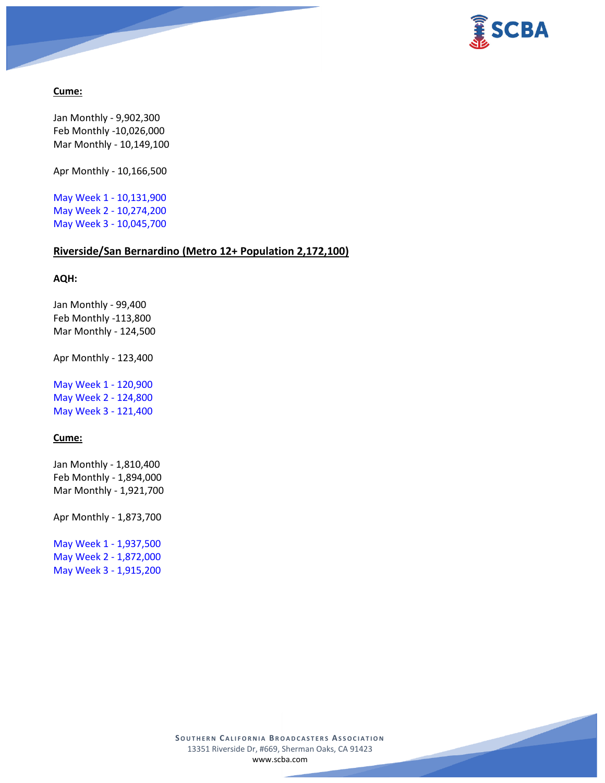



## **Cume:**

Jan Monthly - 9,902,300 Feb Monthly -10,026,000 Mar Monthly - 10,149,100

Apr Monthly - 10,166,500

May Week 1 - 10,131,900 May Week 2 - 10,274,200 May Week 3 - 10,045,700

# **Riverside/San Bernardino (Metro 12+ Population 2,172,100)**

# **AQH:**

Jan Monthly - 99,400 Feb Monthly -113,800 Mar Monthly - 124,500

Apr Monthly - 123,400

May Week 1 - 120,900 May Week 2 - 124,800 May Week 3 - 121,400

# **Cume:**

Jan Monthly - 1,810,400 Feb Monthly - 1,894,000 Mar Monthly - 1,921,700

Apr Monthly - 1,873,700

May Week 1 - 1,937,500 May Week 2 - 1,872,000 May Week 3 - 1,915,200